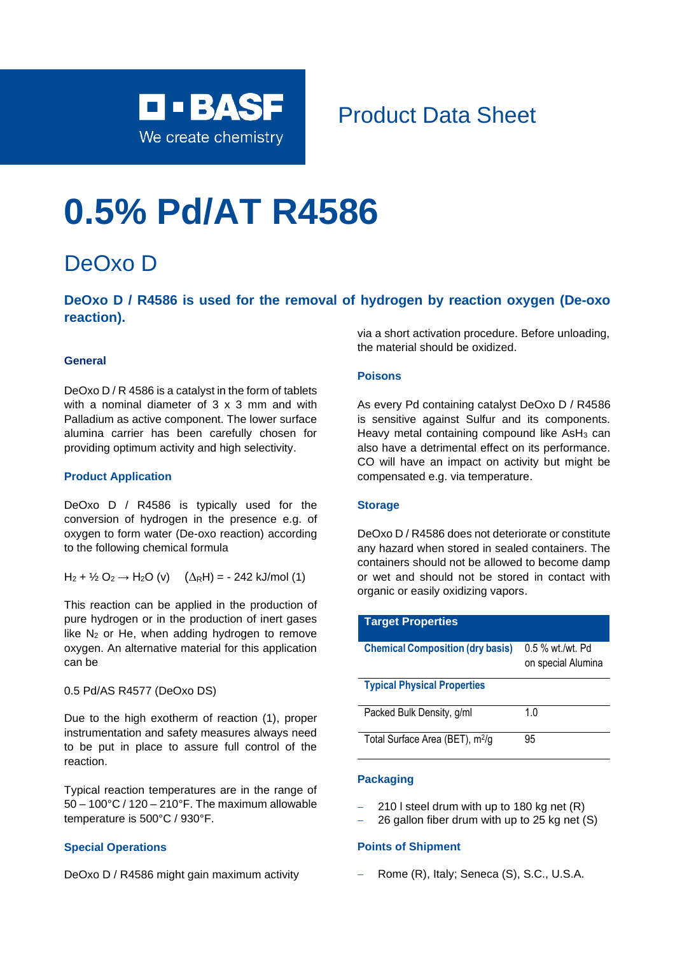

# Product Data Sheet

# **0.5% Pd/AT R4586**

## DeOxo D

**DeOxo D / R4586 is used for the removal of hydrogen by reaction oxygen (De-oxo reaction).**

#### **General**

DeOxo D / R 4586 is a catalyst in the form of tablets with a nominal diameter of 3 x 3 mm and with Palladium as active component. The lower surface alumina carrier has been carefully chosen for providing optimum activity and high selectivity.

#### **Product Application**

DeOxo D / R4586 is typically used for the conversion of hydrogen in the presence e.g. of oxygen to form water (De-oxo reaction) according to the following chemical formula

$$
H_2 + \frac{1}{2} O_2 \rightarrow H_2O (v) \quad (\Delta_R H) = -242 \text{ kJ/mol (1)}
$$

This reaction can be applied in the production of pure hydrogen or in the production of inert gases like  $N_2$  or He, when adding hydrogen to remove oxygen. An alternative material for this application can be

#### 0.5 Pd/AS R4577 (DeOxo DS)

Due to the high exotherm of reaction (1), proper instrumentation and safety measures always need to be put in place to assure full control of the reaction.

Typical reaction temperatures are in the range of 50 – 100°C / 120 – 210°F. The maximum allowable temperature is 500°C / 930°F.

#### **Special Operations**

DeOxo D / R4586 might gain maximum activity

via a short activation procedure. Before unloading, the material should be oxidized.

#### **Poisons**

As every Pd containing catalyst DeOxo D / R4586 is sensitive against Sulfur and its components. Heavy metal containing compound like AsH<sub>3</sub> can also have a detrimental effect on its performance. CO will have an impact on activity but might be compensated e.g. via temperature.

#### **Storage**

DeOxo D / R4586 does not deteriorate or constitute any hazard when stored in sealed containers. The containers should not be allowed to become damp or wet and should not be stored in contact with organic or easily oxidizing vapors.

| <b>Target Properties</b>                    |                                        |
|---------------------------------------------|----------------------------------------|
| <b>Chemical Composition (dry basis)</b>     | 0.5 % wt./wt. Pd<br>on special Alumina |
| <b>Typical Physical Properties</b>          |                                        |
| Packed Bulk Density, g/ml                   | 1 በ                                    |
| Total Surface Area (BET), m <sup>2</sup> /g | 95                                     |

#### **Packaging**

- − 210 l steel drum with up to 180 kg net (R)
- 26 gallon fiber drum with up to 25 kg net (S)

#### **Points of Shipment**

− Rome (R), Italy; Seneca (S), S.C., U.S.A.